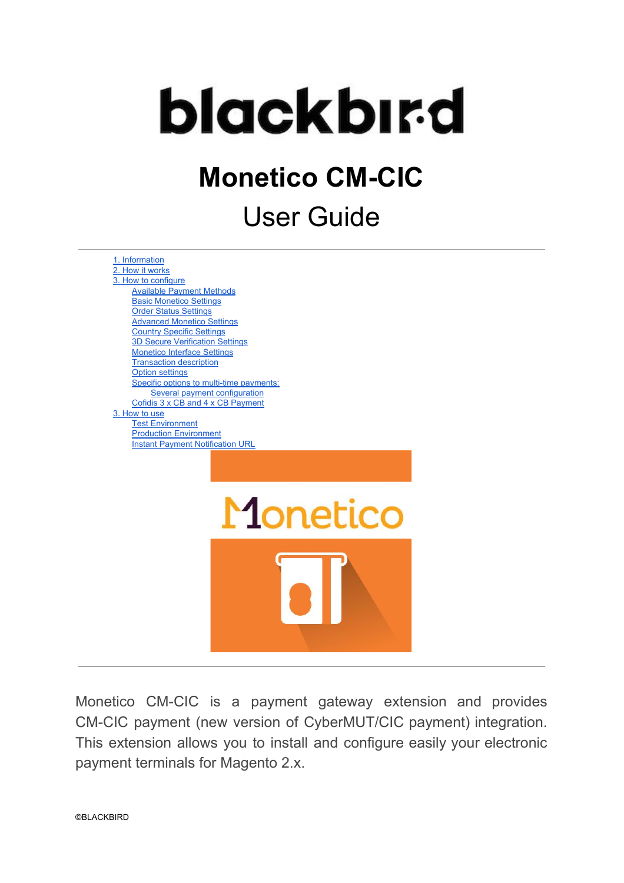

# **Monetico CM-CIC**

# User Guide



Monetico CM-CIC is a payment gateway extension and provides CM-CIC payment (new version of CyberMUT/CIC payment) integration. This extension allows you to install and configure easily your electronic payment terminals for Magento 2.x.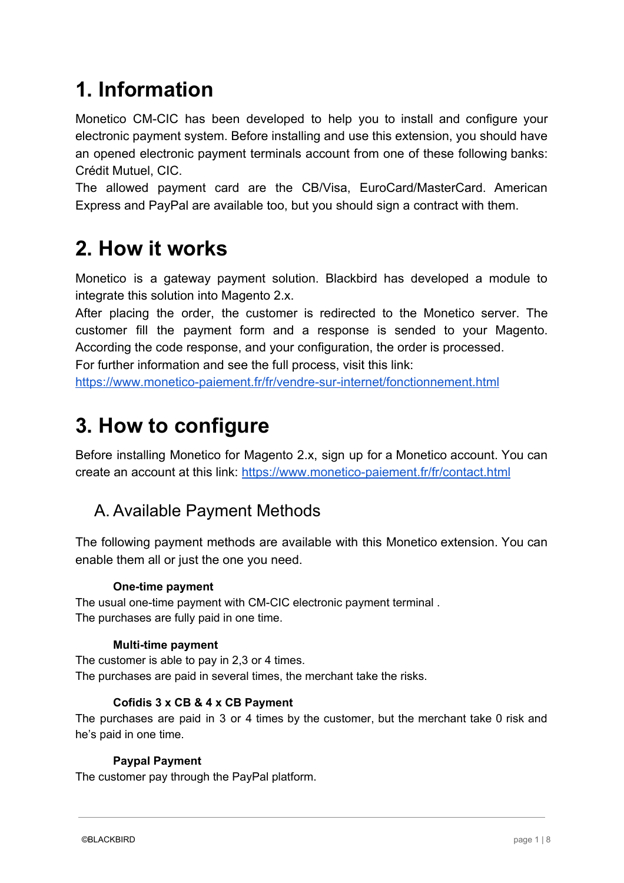# <span id="page-1-2"></span>**1. Information**

Monetico CM-CIC has been developed to help you to install and configure your electronic payment system. Before installing and use this extension, you should have an opened electronic payment terminals account from one of these following banks: Crédit Mutuel, CIC.

The allowed payment card are the CB/Visa, EuroCard/MasterCard. American Express and PayPal are available too, but you should sign a contract with them.

# <span id="page-1-0"></span>**2. How it works**

Monetico is a gateway payment solution. Blackbird has developed a module to integrate this solution into Magento 2.x.

After placing the order, the customer is redirected to the Monetico server. The customer fill the payment form and a response is sended to your Magento. According the code response, and your configuration, the order is processed.

For further information and see the full process, visit this link: <https://www.monetico-paiement.fr/fr/vendre-sur-internet/fonctionnement.html>

# <span id="page-1-3"></span>**3. How to configure**

Before installing Monetico for Magento 2.x, sign up for a Monetico account. You can create an account at this link:<https://www.monetico-paiement.fr/fr/contact.html>

#### <span id="page-1-1"></span>A. Available Payment Methods

The following payment methods are available with this Monetico extension. You can enable them all or just the one you need.

#### **One-time payment**

The usual one-time payment with CM-CIC electronic payment terminal . The purchases are fully paid in one time.

#### **Multi-time payment**

The customer is able to pay in 2,3 or 4 times. The purchases are paid in several times, the merchant take the risks.

#### **Cofidis 3 x CB & 4 x CB Payment**

The purchases are paid in 3 or 4 times by the customer, but the merchant take 0 risk and he's paid in one time.

#### **Paypal Payment**

The customer pay through the PayPal platform.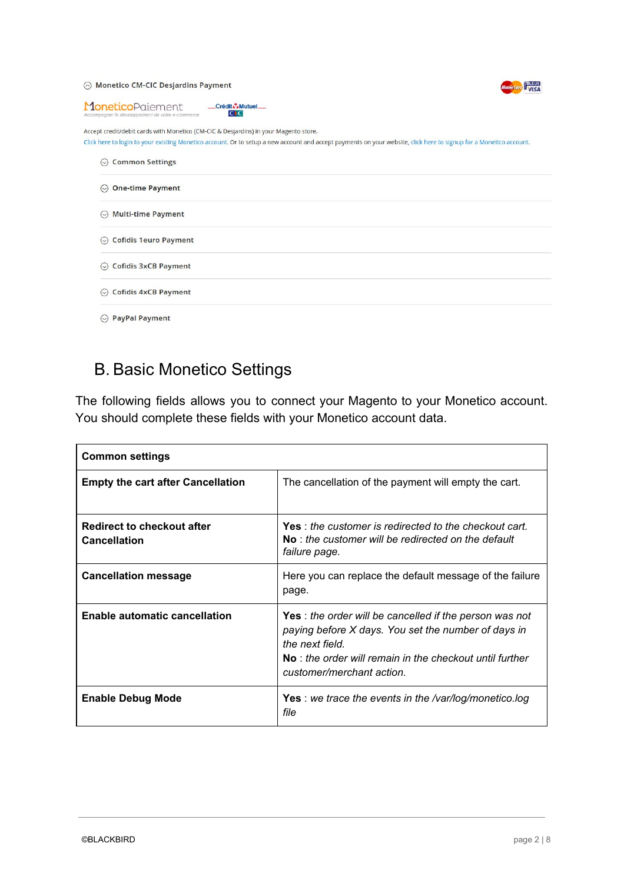#### ⊙ Monetico CM-CIC Desjardins Payment



| MoneticoPgiement<br>Crédit Mutuel<br>CIC<br>Accompagner le développement de votre e-commerce                                                                                                                                                               |
|------------------------------------------------------------------------------------------------------------------------------------------------------------------------------------------------------------------------------------------------------------|
| Accept credit/debit cards with Monetico (CM-CIC & Desjardins) in your Magento store.<br>Click here to login to your existing Monetico account. Or to setup a new account and accept payments on your website, click here to signup for a Monetico account. |
| <b>Common Settings</b><br>$\circlearrowright$                                                                                                                                                                                                              |
| <b>One-time Payment</b><br>$\odot$                                                                                                                                                                                                                         |
| <b>Multi-time Payment</b><br>$\odot$                                                                                                                                                                                                                       |
| <b>Cofidis 1euro Payment</b><br>$\odot$                                                                                                                                                                                                                    |
| <b>Cofidis 3xCB Payment</b><br>$(\smile)$                                                                                                                                                                                                                  |
| <b>Cofidis 4xCB Payment</b><br>$(\vee)$                                                                                                                                                                                                                    |
| <b>PayPal Payment</b><br>$(\smallsmile)$                                                                                                                                                                                                                   |

### <span id="page-2-0"></span>B. Basic Monetico Settings

The following fields allows you to connect your Magento to your Monetico account. You should complete these fields with your Monetico account data.

| <b>Common settings</b>                                   |                                                                                                                                                                                                                                    |
|----------------------------------------------------------|------------------------------------------------------------------------------------------------------------------------------------------------------------------------------------------------------------------------------------|
| <b>Empty the cart after Cancellation</b>                 | The cancellation of the payment will empty the cart.                                                                                                                                                                               |
| <b>Redirect to checkout after</b><br><b>Cancellation</b> | Yes: the customer is redirected to the checkout cart.<br>$No:$ the customer will be redirected on the default<br>failure page.                                                                                                     |
| <b>Cancellation message</b>                              | Here you can replace the default message of the failure<br>page.                                                                                                                                                                   |
| <b>Enable automatic cancellation</b>                     | <b>Yes</b> : the order will be cancelled if the person was not<br>paying before X days. You set the number of days in<br>the next field.<br>$No:$ the order will remain in the checkout until further<br>customer/merchant action. |
| <b>Enable Debug Mode</b>                                 | <b>Yes</b> : we trace the events in the /var/log/monetico.log<br>file                                                                                                                                                              |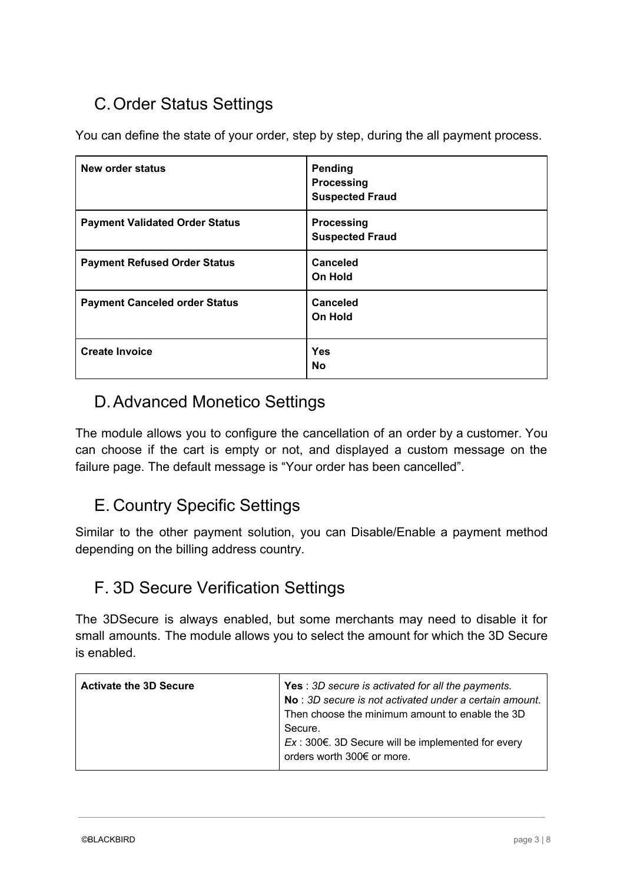### <span id="page-3-0"></span>C.Order Status Settings

You can define the state of your order, step by step, during the all payment process.

| New order status                      | Pending<br>Processing<br><b>Suspected Fraud</b> |
|---------------------------------------|-------------------------------------------------|
| <b>Payment Validated Order Status</b> | <b>Processing</b><br><b>Suspected Fraud</b>     |
| <b>Payment Refused Order Status</b>   | <b>Canceled</b><br><b>On Hold</b>               |
| <b>Payment Canceled order Status</b>  | Canceled<br><b>On Hold</b>                      |
| <b>Create Invoice</b>                 | Yes<br><b>No</b>                                |

#### <span id="page-3-2"></span>D.Advanced Monetico Settings

The module allows you to configure the cancellation of an order by a customer. You can choose if the cart is empty or not, and displayed a custom message on the failure page. The default message is "Your order has been cancelled".

### <span id="page-3-1"></span>E. Country Specific Settings

Similar to the other payment solution, you can Disable/Enable a payment method depending on the billing address country.

#### <span id="page-3-3"></span>F. 3D Secure Verification Settings

The 3DSecure is always enabled, but some merchants may need to disable it for small amounts. The module allows you to select the amount for which the 3D Secure is enabled.

| <b>Activate the 3D Secure</b> | <b>Yes</b> : 3D secure is activated for all the payments.<br>No: 3D secure is not activated under a certain amount.<br>Then choose the minimum amount to enable the 3D<br>Secure.<br>$Ex: 300 \in . 3D$ Secure will be implemented for every<br>orders worth 300€ or more. |
|-------------------------------|----------------------------------------------------------------------------------------------------------------------------------------------------------------------------------------------------------------------------------------------------------------------------|
|-------------------------------|----------------------------------------------------------------------------------------------------------------------------------------------------------------------------------------------------------------------------------------------------------------------------|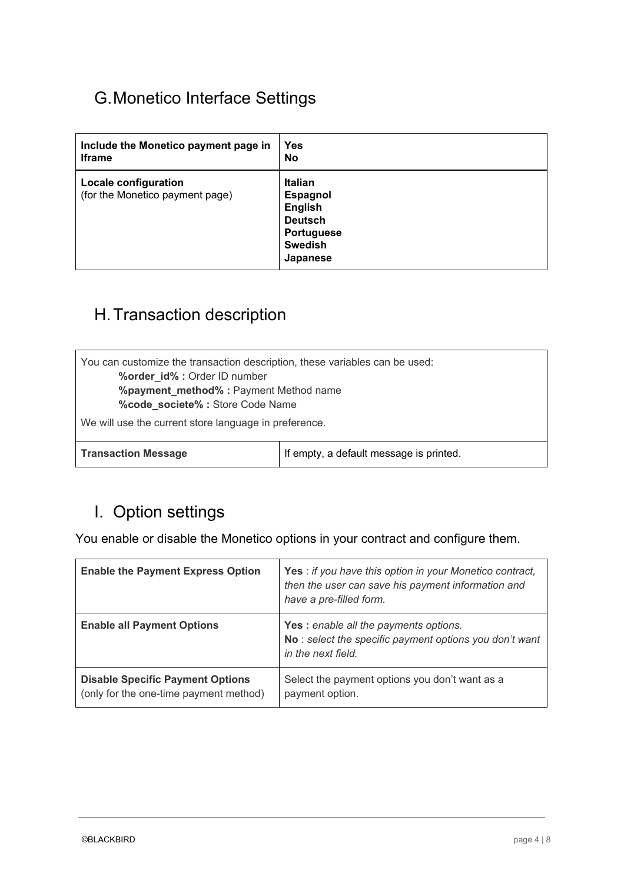### <span id="page-4-2"></span>G.Monetico Interface Settings

| Include the Monetico payment page in                           | Yes                                                                                                               |
|----------------------------------------------------------------|-------------------------------------------------------------------------------------------------------------------|
| <b>Iframe</b>                                                  | <b>No</b>                                                                                                         |
| <b>Locale configuration</b><br>(for the Monetico payment page) | <b>Italian</b><br><b>Espagnol</b><br><b>English</b><br><b>Deutsch</b><br>Portuguese<br><b>Swedish</b><br>Japanese |

### <span id="page-4-1"></span>H.Transaction description

| You can customize the transaction description, these variables can be used:<br>%order_id% : Order ID number<br>%payment_method%: Payment Method name<br>%code_societe% : Store Code Name |                                         |
|------------------------------------------------------------------------------------------------------------------------------------------------------------------------------------------|-----------------------------------------|
| We will use the current store language in preference.                                                                                                                                    |                                         |
| <b>Transaction Message</b>                                                                                                                                                               | If empty, a default message is printed. |

#### <span id="page-4-0"></span>I. Option settings

You enable or disable the Monetico options in your contract and configure them.

| <b>Enable the Payment Express Option</b>                                          | Yes : if you have this option in your Monetico contract,<br>then the user can save his payment information and<br>have a pre-filled form. |
|-----------------------------------------------------------------------------------|-------------------------------------------------------------------------------------------------------------------------------------------|
| <b>Enable all Payment Options</b>                                                 | <b>Yes:</b> enable all the payments options.<br>No: select the specific payment options you don't want<br>in the next field.              |
| <b>Disable Specific Payment Options</b><br>(only for the one-time payment method) | Select the payment options you don't want as a<br>payment option.                                                                         |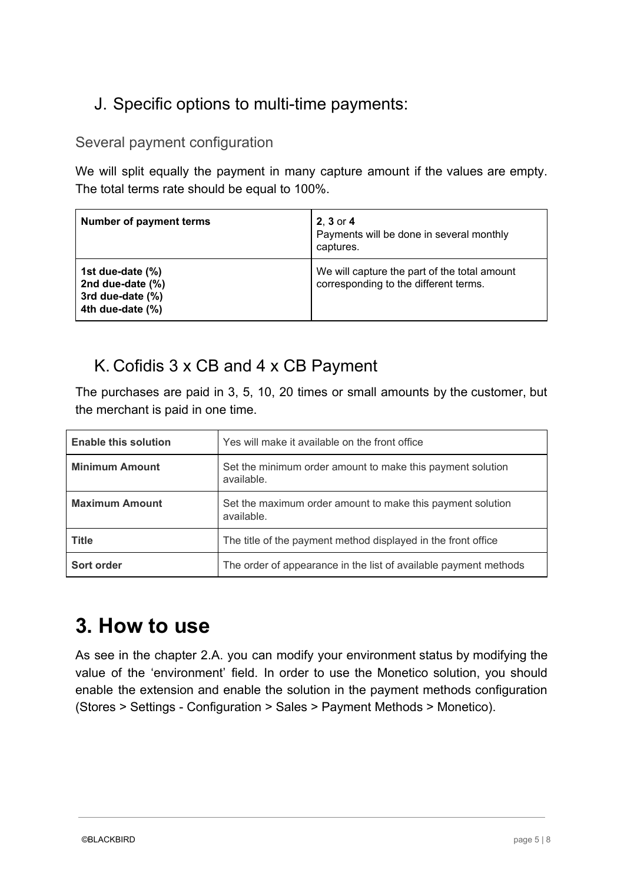### <span id="page-5-1"></span>J. Specific options to multi-time payments:

#### <span id="page-5-0"></span>Several payment configuration

We will split equally the payment in many capture amount if the values are empty. The total terms rate should be equal to 100%.

| <b>Number of payment terms</b>                                               | $2, 3$ or $4$<br>Payments will be done in several monthly<br>captures.                |
|------------------------------------------------------------------------------|---------------------------------------------------------------------------------------|
| 1st due-date (%)<br>2nd due-date (%)<br>3rd due-date (%)<br>4th due-date (%) | We will capture the part of the total amount<br>corresponding to the different terms. |

#### <span id="page-5-3"></span>K. Cofidis 3 x CB and 4 x CB Payment

The purchases are paid in 3, 5, 10, 20 times or small amounts by the customer, but the merchant is paid in one time.

| <b>Enable this solution</b> | Yes will make it available on the front office                           |
|-----------------------------|--------------------------------------------------------------------------|
| <b>Minimum Amount</b>       | Set the minimum order amount to make this payment solution<br>available. |
| <b>Maximum Amount</b>       | Set the maximum order amount to make this payment solution<br>available. |
| <b>Title</b>                | The title of the payment method displayed in the front office            |
| Sort order                  | The order of appearance in the list of available payment methods         |

## <span id="page-5-2"></span>**3. How to use**

As see in the chapter 2.A. you can modify your environment status by modifying the value of the 'environment' field. In order to use the Monetico solution, you should enable the extension and enable the solution in the payment methods configuration (Stores > Settings - Configuration > Sales > Payment Methods > Monetico).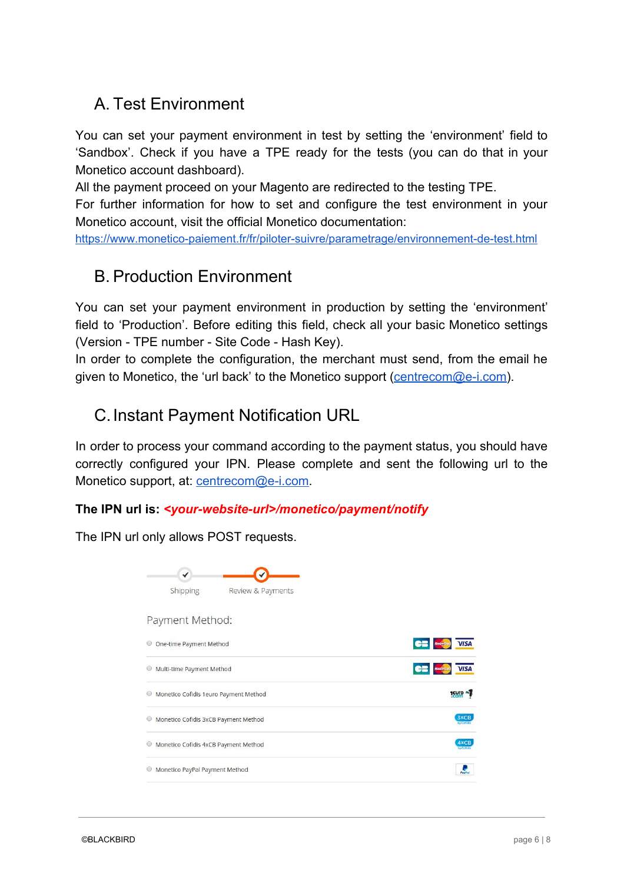### <span id="page-6-0"></span>A. Test Environment

You can set your payment environment in test by setting the 'environment' field to 'Sandbox'. Check if you have a TPE ready for the tests (you can do that in your Monetico account dashboard).

All the payment proceed on your Magento are redirected to the testing TPE.

For further information for how to set and configure the test environment in your Monetico account, visit the official Monetico documentation:

<span id="page-6-1"></span><https://www.monetico-paiement.fr/fr/piloter-suivre/parametrage/environnement-de-test.html>

#### B. Production Environment

You can set your payment environment in production by setting the 'environment' field to 'Production'. Before editing this field, check all your basic Monetico settings (Version - TPE number - Site Code - Hash Key).

In order to complete the configuration, the merchant must send, from the email he given to Monetico, the 'url back' to the Monetico support ([centrecom@e-i.com\)](mailto:centrecom@e-i.com).

#### <span id="page-6-2"></span>C.Instant Payment Notification URL

In order to process your command according to the payment status, you should have correctly configured your IPN. Please complete and sent the following url to the Monetico support, at: [centrecom@e-i.com.](mailto:centrecom@e-i.com)

#### **The IPN url is:** *<your-website-url>/monetico/payment/notify*

The IPN url only allows POST requests.